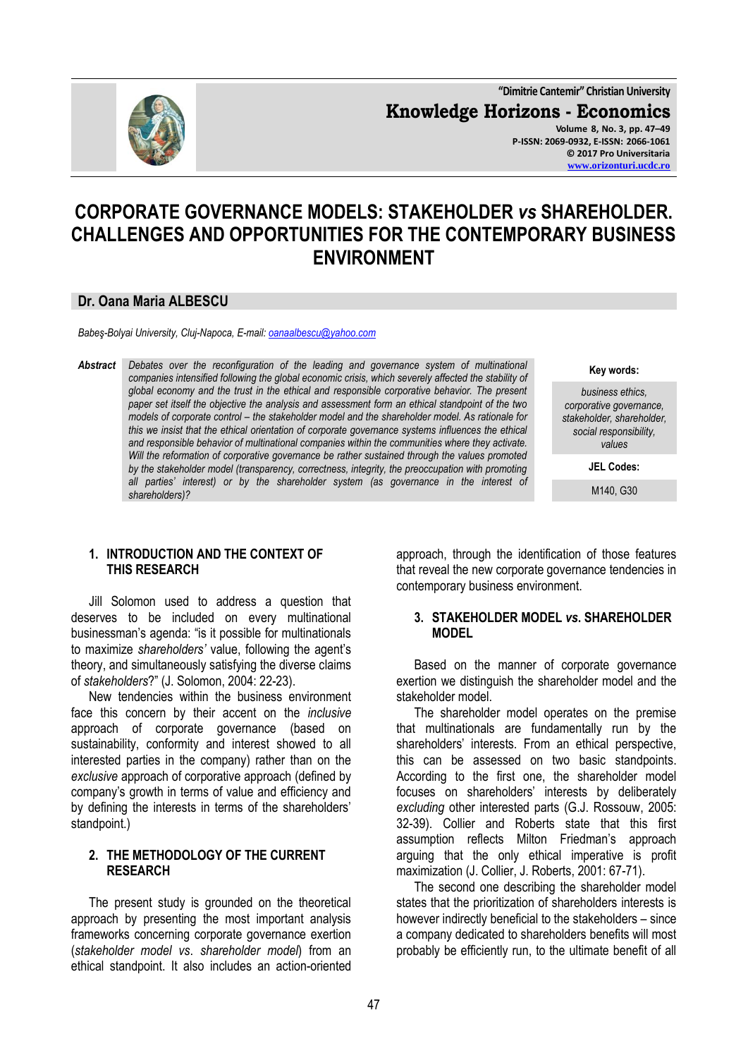

**"Dimitrie Cantemir" Christian University Knowledge Horizons - Economics Volume 8, No. 3, pp. 47–49 P-ISSN: 2069-0932, E-ISSN: 2066-1061 © 2017 Pro Universitaria**

**[www.orizonturi.ucdc.ro](http://www.orizonturi.ucdc.ro/)**

# **CORPORATE GOVERNANCE MODELS: STAKEHOLDER** *vs* **SHAREHOLDER. CHALLENGES AND OPPORTUNITIES FOR THE CONTEMPORARY BUSINESS ENVIRONMENT**

## **Dr. Oana Maria ALBESCU**

*Babeş-Bolyai University, Cluj-Napoca, E-mail: [oanaalbescu@yahoo.com](mailto:oanaalbescu@yahoo.com)*

*Abstract Debates over the reconfiguration of the leading and governance system of multinational companies intensified following the global economic crisis, which severely affected the stability of global economy and the trust in the ethical and responsible corporative behavior. The present paper set itself the objective the analysis and assessment form an ethical standpoint of the two models of corporate control – the stakeholder model and the shareholder model. As rationale for this we insist that the ethical orientation of corporate governance systems influences the ethical and responsible behavior of multinational companies within the communities where they activate. Will the reformation of corporative governance be rather sustained through the values promoted by the stakeholder model (transparency, correctness, integrity, the preoccupation with promoting all parties' interest) or by the shareholder system (as governance in the interest of shareholders)?*

#### **1. INTRODUCTION AND THE CONTEXT OF THIS RESEARCH**

Jill Solomon used to address a question that deserves to be included on every multinational businessman's agenda: "is it possible for multinationals to maximize *shareholders'* value, following the agent's theory, and simultaneously satisfying the diverse claims of *stakeholders*?" (J. Solomon, 2004: 22-23).

New tendencies within the business environment face this concern by their accent on the *inclusive* approach of corporate governance (based on sustainability, conformity and interest showed to all interested parties in the company) rather than on the *exclusive* approach of corporative approach (defined by company's growth in terms of value and efficiency and by defining the interests in terms of the shareholders' standpoint.)

## **2. THE METHODOLOGY OF THE CURRENT RESEARCH**

The present study is grounded on the theoretical approach by presenting the most important analysis frameworks concerning corporate governance exertion (*stakeholder model vs*. *shareholder model*) from an ethical standpoint. It also includes an action-oriented

**Key words:**

*business ethics, corporative governance, stakeholder, shareholder, social responsibility, values*

**JEL Codes:**

M140, G30

approach, through the identification of those features that reveal the new corporate governance tendencies in contemporary business environment.

#### **3. STAKEHOLDER MODEL** *vs***. SHAREHOLDER MODEL**

Based on the manner of corporate governance exertion we distinguish the shareholder model and the stakeholder model.

The shareholder model operates on the premise that multinationals are fundamentally run by the shareholders' interests. From an ethical perspective, this can be assessed on two basic standpoints. According to the first one, the shareholder model focuses on shareholders' interests by deliberately *excluding* other interested parts (G.J. Rossouw, 2005: 32-39). Collier and Roberts state that this first assumption reflects Milton Friedman's approach arguing that the only ethical imperative is profit maximization (J. Collier, J. Roberts, 2001: 67-71).

The second one describing the shareholder model states that the prioritization of shareholders interests is however indirectly beneficial to the stakeholders – since a company dedicated to shareholders benefits will most probably be efficiently run, to the ultimate benefit of all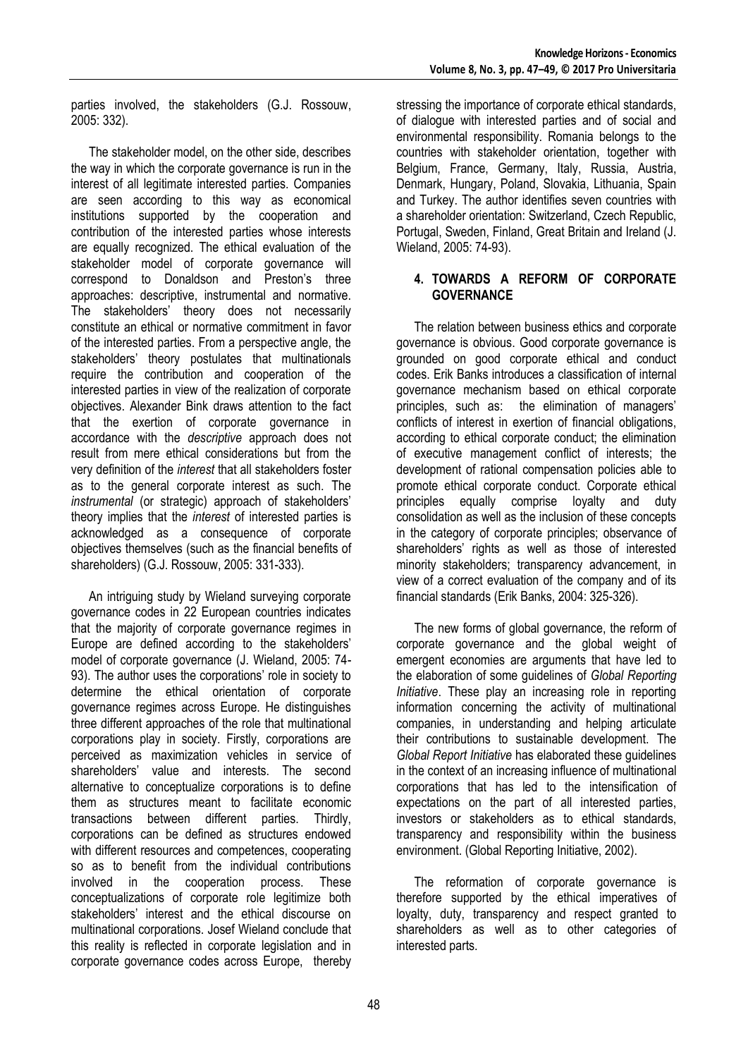parties involved, the stakeholders (G.J. Rossouw, 2005: 332).

The stakeholder model, on the other side, describes the way in which the corporate governance is run in the interest of all legitimate interested parties. Companies are seen according to this way as economical institutions supported by the cooperation and contribution of the interested parties whose interests are equally recognized. The ethical evaluation of the stakeholder model of corporate governance will correspond to Donaldson and Preston's three approaches: descriptive, instrumental and normative. The stakeholders' theory does not necessarily constitute an ethical or normative commitment in favor of the interested parties. From a perspective angle, the stakeholders' theory postulates that multinationals require the contribution and cooperation of the interested parties in view of the realization of corporate objectives. Alexander Bink draws attention to the fact that the exertion of corporate governance in accordance with the *descriptive* approach does not result from mere ethical considerations but from the very definition of the *interest* that all stakeholders foster as to the general corporate interest as such. The *instrumental* (or strategic) approach of stakeholders' theory implies that the *interest* of interested parties is acknowledged as a consequence of corporate objectives themselves (such as the financial benefits of shareholders) (G.J. Rossouw, 2005: 331-333).

An intriguing study by Wieland surveying corporate governance codes in 22 European countries indicates that the majority of corporate governance regimes in Europe are defined according to the stakeholders' model of corporate governance (J. Wieland, 2005: 74- 93). The author uses the corporations' role in society to determine the ethical orientation of corporate governance regimes across Europe. He distinguishes three different approaches of the role that multinational corporations play in society. Firstly, corporations are perceived as maximization vehicles in service of shareholders' value and interests. The second alternative to conceptualize corporations is to define them as structures meant to facilitate economic transactions between different parties. Thirdly, corporations can be defined as structures endowed with different resources and competences, cooperating so as to benefit from the individual contributions involved in the cooperation process. These conceptualizations of corporate role legitimize both stakeholders' interest and the ethical discourse on multinational corporations. Josef Wieland conclude that this reality is reflected in corporate legislation and in corporate governance codes across Europe, thereby stressing the importance of corporate ethical standards, of dialogue with interested parties and of social and environmental responsibility. Romania belongs to the countries with stakeholder orientation, together with Belgium, France, Germany, Italy, Russia, Austria, Denmark, Hungary, Poland, Slovakia, Lithuania, Spain and Turkey. The author identifies seven countries with a shareholder orientation: Switzerland, Czech Republic, Portugal, Sweden, Finland, Great Britain and Ireland (J. Wieland, 2005: 74-93).

## **4. TOWARDS A REFORM OF CORPORATE GOVERNANCE**

The relation between business ethics and corporate governance is obvious. Good corporate governance is grounded on good corporate ethical and conduct codes. Erik Banks introduces a classification of internal governance mechanism based on ethical corporate principles, such as: the elimination of managers' conflicts of interest in exertion of financial obligations, according to ethical corporate conduct; the elimination of executive management conflict of interests; the development of rational compensation policies able to promote ethical corporate conduct. Corporate ethical principles equally comprise loyalty and duty consolidation as well as the inclusion of these concepts in the category of corporate principles; observance of shareholders' rights as well as those of interested minority stakeholders; transparency advancement, in view of a correct evaluation of the company and of its financial standards (Erik Banks, 2004: 325-326).

The new forms of global governance, the reform of corporate governance and the global weight of emergent economies are arguments that have led to the elaboration of some guidelines of *Global Reporting Initiative*. These play an increasing role in reporting information concerning the activity of multinational companies, in understanding and helping articulate their contributions to sustainable development. The *Global Report Initiative* has elaborated these guidelines in the context of an increasing influence of multinational corporations that has led to the intensification of expectations on the part of all interested parties, investors or stakeholders as to ethical standards, transparency and responsibility within the business environment. (Global Reporting Initiative, 2002).

The reformation of corporate governance is therefore supported by the ethical imperatives of loyalty, duty, transparency and respect granted to shareholders as well as to other categories of interested parts.